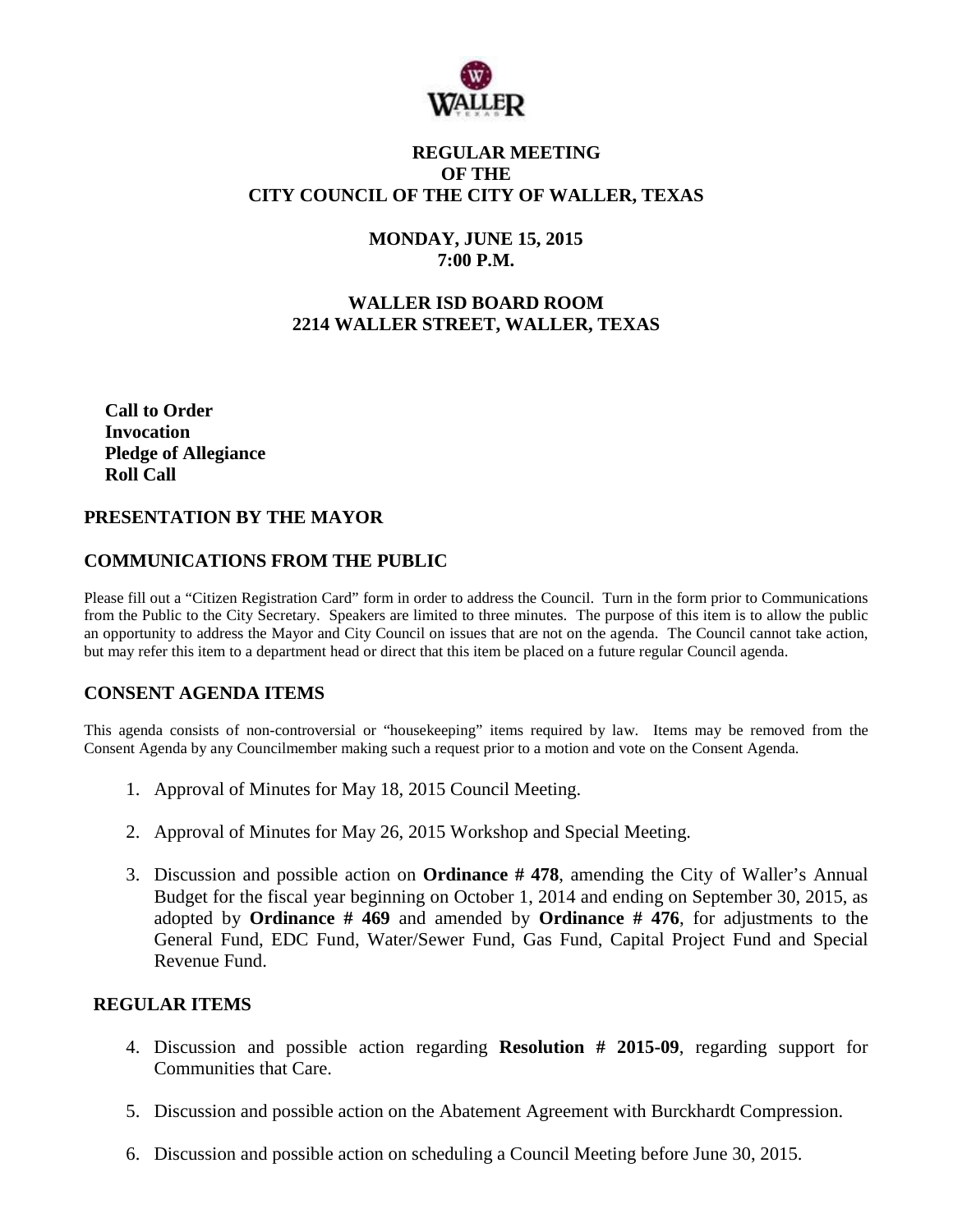

# **REGULAR MEETING OF THE CITY COUNCIL OF THE CITY OF WALLER, TEXAS**

# **MONDAY, JUNE 15, 2015 7:00 P.M.**

# **WALLER ISD BOARD ROOM 2214 WALLER STREET, WALLER, TEXAS**

**Call to Order Invocation Pledge of Allegiance Roll Call**

# **PRESENTATION BY THE MAYOR**

# **COMMUNICATIONS FROM THE PUBLIC**

Please fill out a "Citizen Registration Card" form in order to address the Council. Turn in the form prior to Communications from the Public to the City Secretary. Speakers are limited to three minutes. The purpose of this item is to allow the public an opportunity to address the Mayor and City Council on issues that are not on the agenda. The Council cannot take action, but may refer this item to a department head or direct that this item be placed on a future regular Council agenda.

### **CONSENT AGENDA ITEMS**

This agenda consists of non-controversial or "housekeeping" items required by law. Items may be removed from the Consent Agenda by any Councilmember making such a request prior to a motion and vote on the Consent Agenda.

- 1. Approval of Minutes for May 18, 2015 Council Meeting.
- 2. Approval of Minutes for May 26, 2015 Workshop and Special Meeting.
- 3. Discussion and possible action on **Ordinance # 478**, amending the City of Waller's Annual Budget for the fiscal year beginning on October 1, 2014 and ending on September 30, 2015, as adopted by **Ordinance # 469** and amended by **Ordinance # 476**, for adjustments to the General Fund, EDC Fund, Water/Sewer Fund, Gas Fund, Capital Project Fund and Special Revenue Fund.

## **REGULAR ITEMS**

- 4. Discussion and possible action regarding **Resolution # 2015-09**, regarding support for Communities that Care.
- 5. Discussion and possible action on the Abatement Agreement with Burckhardt Compression.
- 6. Discussion and possible action on scheduling a Council Meeting before June 30, 2015.